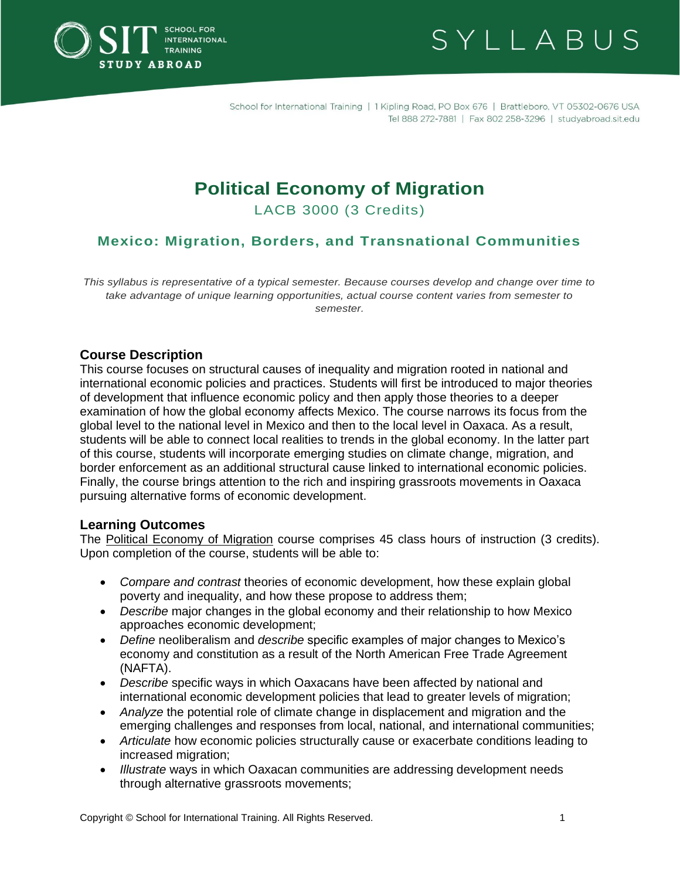



# **Political Economy of Migration**

LACB 3000 (3 Credits)

# **Mexico: Migration, Borders, and Transnational Communities**

*This syllabus is representative of a typical semester. Because courses develop and change over time to take advantage of unique learning opportunities, actual course content varies from semester to semester.*

#### **Course Description**

This course focuses on structural causes of inequality and migration rooted in national and international economic policies and practices. Students will first be introduced to major theories of development that influence economic policy and then apply those theories to a deeper examination of how the global economy affects Mexico. The course narrows its focus from the global level to the national level in Mexico and then to the local level in Oaxaca. As a result, students will be able to connect local realities to trends in the global economy. In the latter part of this course, students will incorporate emerging studies on climate change, migration, and border enforcement as an additional structural cause linked to international economic policies. Finally, the course brings attention to the rich and inspiring grassroots movements in Oaxaca pursuing alternative forms of economic development.

#### **Learning Outcomes**

The Political Economy of Migration course comprises 45 class hours of instruction (3 credits). Upon completion of the course, students will be able to:

- *Compare and contrast* theories of economic development, how these explain global poverty and inequality, and how these propose to address them;
- *Describe* major changes in the global economy and their relationship to how Mexico approaches economic development;
- *Define* neoliberalism and *describe* specific examples of major changes to Mexico's economy and constitution as a result of the North American Free Trade Agreement (NAFTA).
- *Describe* specific ways in which Oaxacans have been affected by national and international economic development policies that lead to greater levels of migration;
- *Analyze* the potential role of climate change in displacement and migration and the emerging challenges and responses from local, national, and international communities;
- *Articulate* how economic policies structurally cause or exacerbate conditions leading to increased migration;
- *Illustrate* ways in which Oaxacan communities are addressing development needs through alternative grassroots movements;

Copyright © School for International Training. All Rights Reserved. 1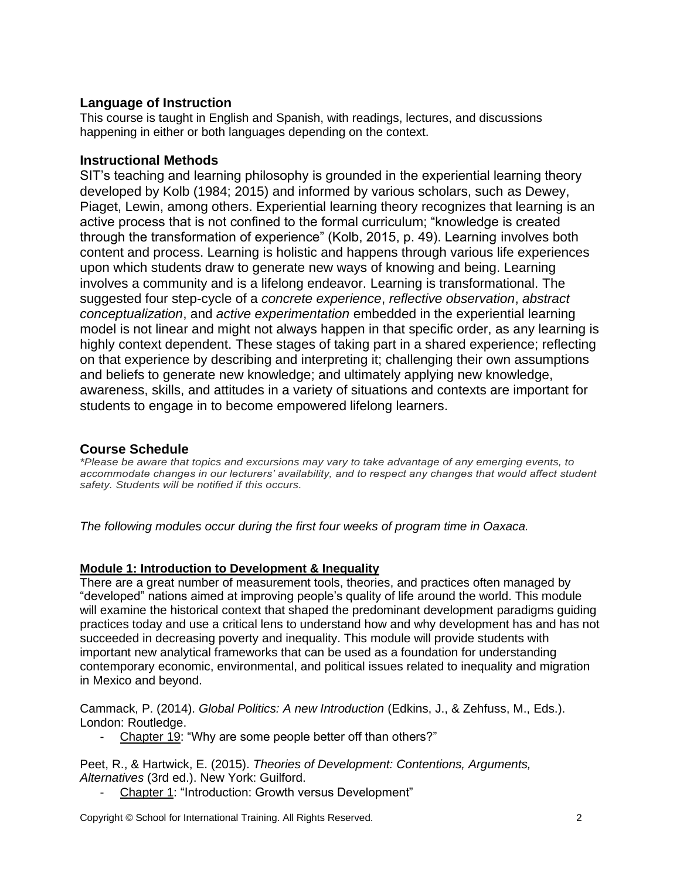## **Language of Instruction**

This course is taught in English and Spanish, with readings, lectures, and discussions happening in either or both languages depending on the context.

## **Instructional Methods**

SIT's teaching and learning philosophy is grounded in the experiential learning theory developed by Kolb (1984; 2015) and informed by various scholars, such as Dewey, Piaget, Lewin, among others. Experiential learning theory recognizes that learning is an active process that is not confined to the formal curriculum; "knowledge is created through the transformation of experience" (Kolb, 2015, p. 49). Learning involves both content and process. Learning is holistic and happens through various life experiences upon which students draw to generate new ways of knowing and being. Learning involves a community and is a lifelong endeavor. Learning is transformational. The suggested four step-cycle of a *concrete experience*, *reflective observation*, *abstract conceptualization*, and *active experimentation* embedded in the experiential learning model is not linear and might not always happen in that specific order, as any learning is highly context dependent. These stages of taking part in a shared experience; reflecting on that experience by describing and interpreting it; challenging their own assumptions and beliefs to generate new knowledge; and ultimately applying new knowledge, awareness, skills, and attitudes in a variety of situations and contexts are important for students to engage in to become empowered lifelong learners.

# **Course Schedule**

*\*Please be aware that topics and excursions may vary to take advantage of any emerging events, to accommodate changes in our lecturers' availability, and to respect any changes that would affect student safety. Students will be notified if this occurs.*

*The following modules occur during the first four weeks of program time in Oaxaca.* 

## **Module 1: Introduction to Development & Inequality**

There are a great number of measurement tools, theories, and practices often managed by "developed" nations aimed at improving people's quality of life around the world. This module will examine the historical context that shaped the predominant development paradigms guiding practices today and use a critical lens to understand how and why development has and has not succeeded in decreasing poverty and inequality. This module will provide students with important new analytical frameworks that can be used as a foundation for understanding contemporary economic, environmental, and political issues related to inequality and migration in Mexico and beyond.

Cammack, P. (2014). *Global Politics: A new Introduction* (Edkins, J., & Zehfuss, M., Eds.). London: Routledge.

- Chapter 19: "Why are some people better off than others?"

Peet, R., & Hartwick, E. (2015). *Theories of Development: Contentions, Arguments, Alternatives* (3rd ed.). New York: Guilford.

Chapter 1: "Introduction: Growth versus Development"

Copyright © School for International Training. All Rights Reserved. 2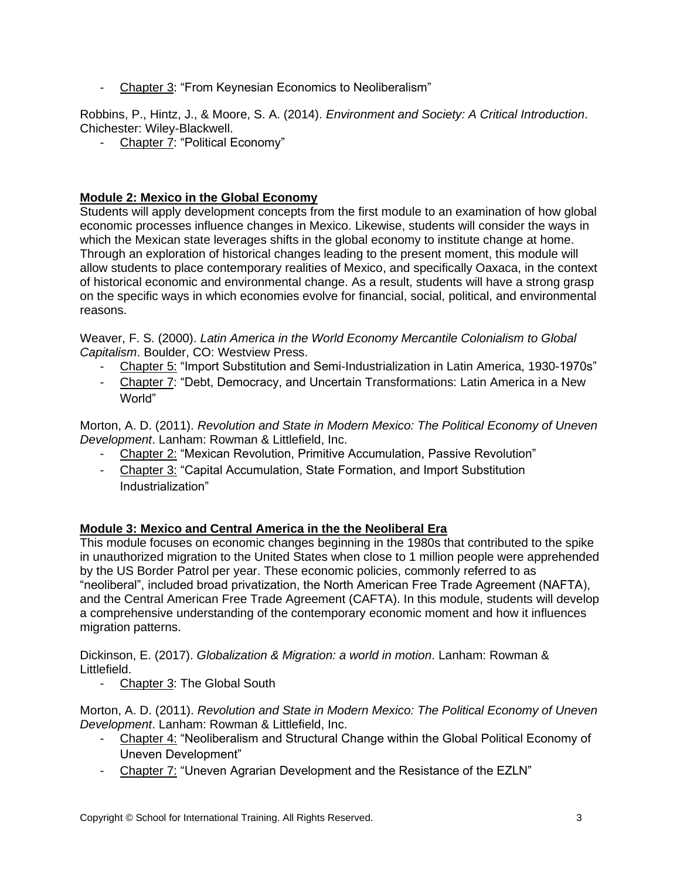- Chapter 3: "From Keynesian Economics to Neoliberalism"

Robbins, P., Hintz, J., & Moore, S. A. (2014). *Environment and Society: A Critical Introduction*. Chichester: Wiley-Blackwell.

- Chapter 7: "Political Economy"

## **Module 2: Mexico in the Global Economy**

Students will apply development concepts from the first module to an examination of how global economic processes influence changes in Mexico. Likewise, students will consider the ways in which the Mexican state leverages shifts in the global economy to institute change at home. Through an exploration of historical changes leading to the present moment, this module will allow students to place contemporary realities of Mexico, and specifically Oaxaca, in the context of historical economic and environmental change. As a result, students will have a strong grasp on the specific ways in which economies evolve for financial, social, political, and environmental reasons.

Weaver, F. S. (2000). *Latin America in the World Economy Mercantile Colonialism to Global Capitalism*. Boulder, CO: Westview Press.

- Chapter 5: "Import Substitution and Semi-Industrialization in Latin America, 1930-1970s"
- Chapter 7: "Debt, Democracy, and Uncertain Transformations: Latin America in a New World"

Morton, A. D. (2011). *Revolution and State in Modern Mexico: The Political Economy of Uneven Development*. Lanham: Rowman & Littlefield, Inc.

- Chapter 2: "Mexican Revolution, Primitive Accumulation, Passive Revolution"
- Chapter 3: "Capital Accumulation, State Formation, and Import Substitution Industrialization"

## **Module 3: Mexico and Central America in the the Neoliberal Era**

This module focuses on economic changes beginning in the 1980s that contributed to the spike in unauthorized migration to the United States when close to 1 million people were apprehended by the US Border Patrol per year. These economic policies, commonly referred to as "neoliberal", included broad privatization, the North American Free Trade Agreement (NAFTA), and the Central American Free Trade Agreement (CAFTA). In this module, students will develop a comprehensive understanding of the contemporary economic moment and how it influences migration patterns.

Dickinson, E. (2017). *Globalization & Migration: a world in motion*. Lanham: Rowman & Littlefield.

- Chapter 3: The Global South

Morton, A. D. (2011). *Revolution and State in Modern Mexico: The Political Economy of Uneven Development*. Lanham: Rowman & Littlefield, Inc.

- Chapter 4: "Neoliberalism and Structural Change within the Global Political Economy of Uneven Development"
- Chapter 7: "Uneven Agrarian Development and the Resistance of the EZLN"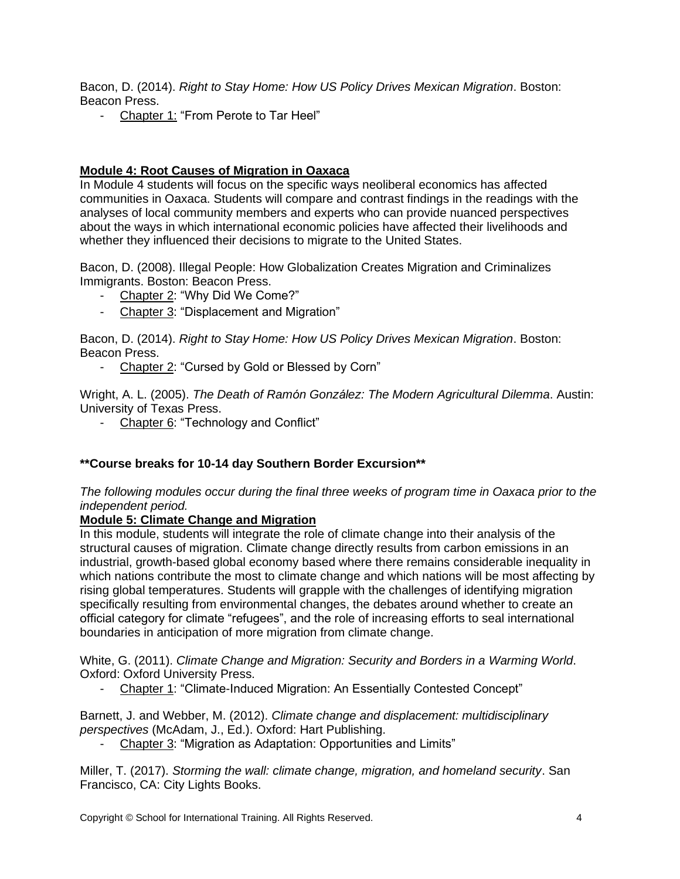Bacon, D. (2014). *Right to Stay Home: How US Policy Drives Mexican Migration*. Boston: Beacon Press.

- Chapter 1: "From Perote to Tar Heel"

#### **Module 4: Root Causes of Migration in Oaxaca**

In Module 4 students will focus on the specific ways neoliberal economics has affected communities in Oaxaca. Students will compare and contrast findings in the readings with the analyses of local community members and experts who can provide nuanced perspectives about the ways in which international economic policies have affected their livelihoods and whether they influenced their decisions to migrate to the United States.

Bacon, D. (2008). Illegal People: How Globalization Creates Migration and Criminalizes Immigrants. Boston: Beacon Press.

- Chapter 2: "Why Did We Come?"
- Chapter 3: "Displacement and Migration"

Bacon, D. (2014). *Right to Stay Home: How US Policy Drives Mexican Migration*. Boston: Beacon Press.

- Chapter 2: "Cursed by Gold or Blessed by Corn"

Wright, A. L. (2005). *The Death of Ramón González: The Modern Agricultural Dilemma*. Austin: University of Texas Press.

- Chapter 6: "Technology and Conflict"

#### **\*\*Course breaks for 10-14 day Southern Border Excursion\*\***

*The following modules occur during the final three weeks of program time in Oaxaca prior to the independent period.* 

#### **Module 5: Climate Change and Migration**

In this module, students will integrate the role of climate change into their analysis of the structural causes of migration. Climate change directly results from carbon emissions in an industrial, growth-based global economy based where there remains considerable inequality in which nations contribute the most to climate change and which nations will be most affecting by rising global temperatures. Students will grapple with the challenges of identifying migration specifically resulting from environmental changes, the debates around whether to create an official category for climate "refugees", and the role of increasing efforts to seal international boundaries in anticipation of more migration from climate change.

White, G. (2011). *Climate Change and Migration: Security and Borders in a Warming World*. Oxford: Oxford University Press.

- Chapter 1: "Climate-Induced Migration: An Essentially Contested Concept"

Barnett, J. and Webber, M. (2012). *Climate change and displacement: multidisciplinary perspectives* (McAdam, J., Ed.). Oxford: Hart Publishing.

- Chapter 3: "Migration as Adaptation: Opportunities and Limits"

Miller, T. (2017). *Storming the wall: climate change, migration, and homeland security*. San Francisco, CA: City Lights Books.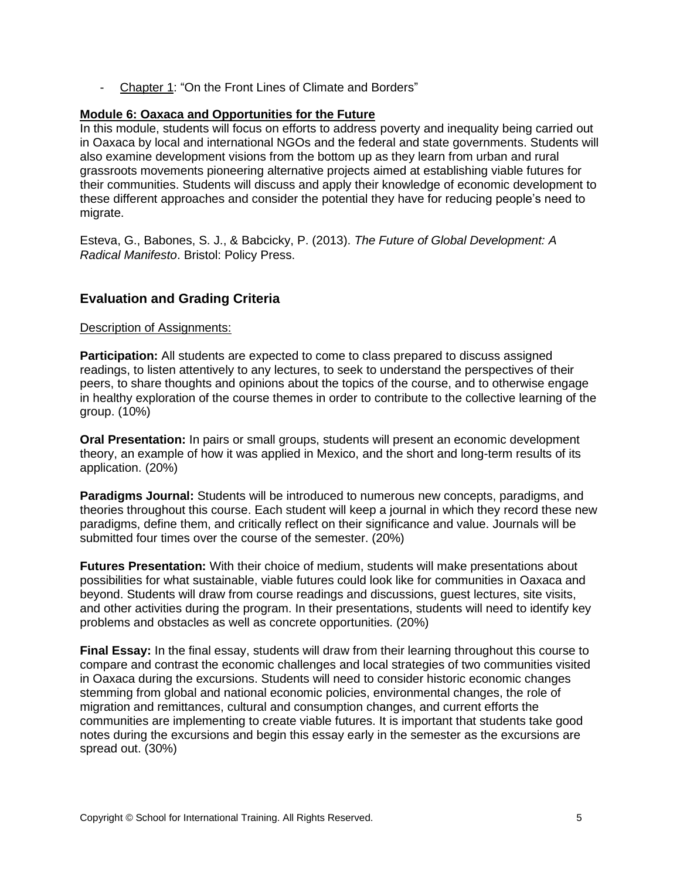Chapter 1: "On the Front Lines of Climate and Borders"

#### **Module 6: Oaxaca and Opportunities for the Future**

In this module, students will focus on efforts to address poverty and inequality being carried out in Oaxaca by local and international NGOs and the federal and state governments. Students will also examine development visions from the bottom up as they learn from urban and rural grassroots movements pioneering alternative projects aimed at establishing viable futures for their communities. Students will discuss and apply their knowledge of economic development to these different approaches and consider the potential they have for reducing people's need to migrate.

Esteva, G., Babones, S. J., & Babcicky, P. (2013). *The Future of Global Development: A Radical Manifesto*. Bristol: Policy Press.

## **Evaluation and Grading Criteria**

#### Description of Assignments:

**Participation:** All students are expected to come to class prepared to discuss assigned readings, to listen attentively to any lectures, to seek to understand the perspectives of their peers, to share thoughts and opinions about the topics of the course, and to otherwise engage in healthy exploration of the course themes in order to contribute to the collective learning of the group. (10%)

**Oral Presentation:** In pairs or small groups, students will present an economic development theory, an example of how it was applied in Mexico, and the short and long-term results of its application. (20%)

**Paradigms Journal:** Students will be introduced to numerous new concepts, paradigms, and theories throughout this course. Each student will keep a journal in which they record these new paradigms, define them, and critically reflect on their significance and value. Journals will be submitted four times over the course of the semester. (20%)

**Futures Presentation:** With their choice of medium, students will make presentations about possibilities for what sustainable, viable futures could look like for communities in Oaxaca and beyond. Students will draw from course readings and discussions, guest lectures, site visits, and other activities during the program. In their presentations, students will need to identify key problems and obstacles as well as concrete opportunities. (20%)

**Final Essay:** In the final essay, students will draw from their learning throughout this course to compare and contrast the economic challenges and local strategies of two communities visited in Oaxaca during the excursions. Students will need to consider historic economic changes stemming from global and national economic policies, environmental changes, the role of migration and remittances, cultural and consumption changes, and current efforts the communities are implementing to create viable futures. It is important that students take good notes during the excursions and begin this essay early in the semester as the excursions are spread out. (30%)